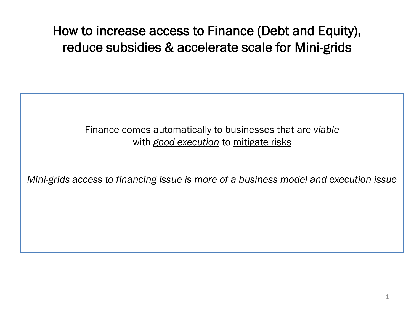How to increase access to Finance (Debt and Equity), reduce subsidies & accelerate scale for Mini-grids

## Finance comes automatically to businesses that are *viable*  with *good execution* to mitigate risks

*Mini-grids access to financing issue is more of a business model and execution issue*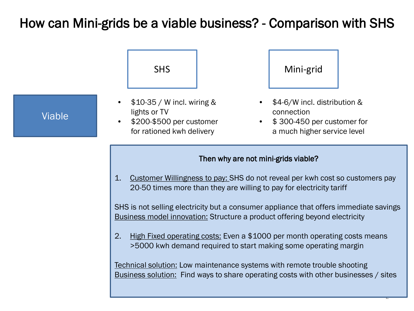## How can Mini-grids be a viable business? - Comparison with SHS